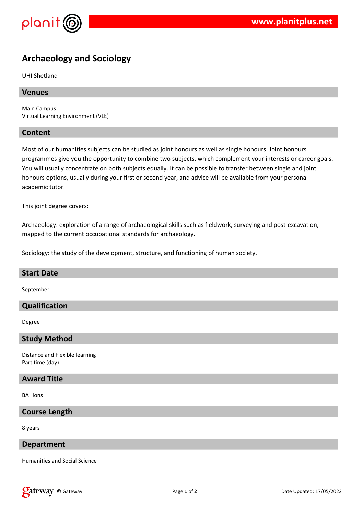

# **Archaeology and Sociology**

UHI Shetland

#### **Venues**

Main Campus Virtual Learning Environment (VLE)

#### **Content**

Most of our humanities subjects can be studied as joint honours as well as single honours. Joint honours programmes give you the opportunity to combine two subjects, which complement your interests or career goals. You will usually concentrate on both subjects equally. It can be possible to transfer between single and joint honours options, usually during your first or second year, and advice will be available from your personal academic tutor.

This joint degree covers:

Archaeology: exploration of a range of archaeological skills such as fieldwork, surveying and post-excavation, mapped to the current occupational standards for archaeology.

Sociology: the study of the development, structure, and functioning of human society.

#### **Start Date**

September

# **Qualification**

Degree

#### **Study Method**

Distance and Flexible learning Part time (day)

#### **Award Title**

BA Hons

# **Course Length**

8 years

## **Department**

Humanities and Social Science

**Calcistary** © Gateway **Page 1** of 2 Date Updated: 17/05/2022